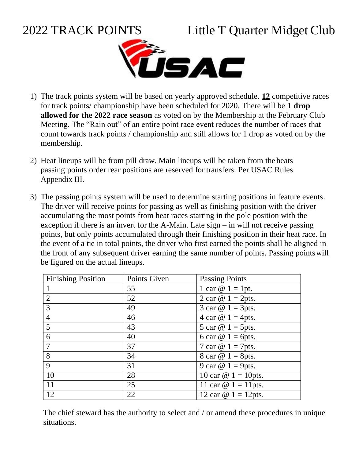## 2022 TRACK POINTS Little T Quarter Midget Club



- 1) The track points system will be based on yearly approved schedule. **12** competitive races for track points/ championship have been scheduled for 2020. There will be **1 drop allowed for the 2022 race season** as voted on by the Membership at the February Club Meeting. The "Rain out" of an entire point race event reduces the number of races that count towards track points / championship and still allows for 1 drop as voted on by the membership.
- 2) Heat lineups will be from pill draw. Main lineups will be taken from the heats passing points order rear positions are reserved for transfers. Per USAC Rules Appendix III.
- 3) The passing points system will be used to determine starting positions in feature events. The driver will receive points for passing as well as finishing position with the driver accumulating the most points from heat races starting in the pole position with the exception if there is an invert for the A-Main. Late sign – in will not receive passing points, but only points accumulated through their finishing position in their heat race. In the event of a tie in total points, the driver who first earned the points shall be aligned in the front of any subsequent driver earning the same number of points. Passing pointswill be figured on the actual lineups.

| <b>Finishing Position</b> | Points Given | <b>Passing Points</b>       |
|---------------------------|--------------|-----------------------------|
|                           | 55           | 1 car $\omega$ 1 = 1pt.     |
| 2                         | 52           | 2 car $\omega$ 1 = 2pts.    |
| $\overline{3}$            | 49           | 3 car $\omega$ 1 = 3pts.    |
| $\overline{4}$            | 46           | 4 car $\omega$ 1 = 4pts.    |
| $5\overline{)}$           | 43           | 5 car $\omega$ 1 = 5pts.    |
| 6                         | 40           | 6 car $\omega$ 1 = 6pts.    |
| $\overline{7}$            | 37           | 7 car $\omega$ 1 = 7 pts.   |
| 8                         | 34           | 8 car $\omega$ 1 = 8pts.    |
| 9                         | 31           | 9 car $\omega$ 1 = 9pts.    |
| 10                        | 28           | 10 car $\omega$ 1 = 10 pts. |
| <sup>11</sup>             | 25           | 11 car $\omega$ 1 = 11 pts. |
| 12                        | 22           | 12 car $\omega$ 1 = 12pts.  |

The chief steward has the authority to select and / or amend these procedures in unique situations.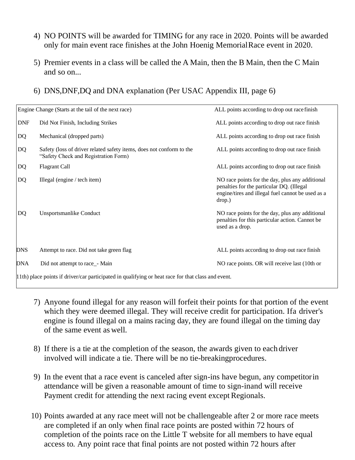- 4) NO POINTS will be awarded for TIMING for any race in 2020. Points will be awarded only for main event race finishes at the John Hoenig MemorialRace event in 2020.
- 5) Premier events in a class will be called the A Main, then the B Main, then the C Main and so on...
- 6) DNS,DNF,DQ and DNA explanation (Per USAC Appendix III, page 6)

|            | Engine Change (Starts at the tail of the next race)                                                          | ALL points according to drop out race finish                                                                                                                |  |  |
|------------|--------------------------------------------------------------------------------------------------------------|-------------------------------------------------------------------------------------------------------------------------------------------------------------|--|--|
| <b>DNF</b> | Did Not Finish, Including Strikes                                                                            | ALL points according to drop out race finish                                                                                                                |  |  |
| DQ         | Mechanical (dropped parts)                                                                                   | ALL points according to drop out race finish                                                                                                                |  |  |
| DQ         | Safety (loss of driver related safety items, does not conform to the<br>"Safety Check and Registration Form) | ALL points according to drop out race finish                                                                                                                |  |  |
| DQ         | <b>Flagrant Call</b>                                                                                         | ALL points according to drop out race finish                                                                                                                |  |  |
| <b>DQ</b>  | Illegal (engine / tech item)                                                                                 | NO race points for the day, plus any additional<br>penalties for the particular DQ. (Illegal<br>engine/tires and illegal fuel cannot be used as a<br>drop.) |  |  |
| DQ         | <b>Unsportsmanlike Conduct</b>                                                                               | NO race points for the day, plus any additional<br>penalties for this particular action. Cannot be<br>used as a drop.                                       |  |  |
| <b>DNS</b> | Attempt to race. Did not take green flag                                                                     | ALL points according to drop out race finish                                                                                                                |  |  |
| <b>DNA</b> | Did not attempt to race_- Main                                                                               | NO race points. OR will receive last (10th or                                                                                                               |  |  |
|            | $(11th)$ place points if driver/car participated in qualifying or heat race for that class and event         |                                                                                                                                                             |  |  |

11th) place points if driver/car participated in qualifying or heat race for that class and event.

- 7) Anyone found illegal for any reason will forfeit their points for that portion of the event which they were deemed illegal. They will receive credit for participation. Ifa driver's engine is found illegal on a mains racing day, they are found illegal on the timing day of the same event as well.
- 8) If there is a tie at the completion of the season, the awards given to each driver involved will indicate a tie. There will be no tie-breakingprocedures.
- 9) In the event that a race event is canceled after sign-ins have begun, any competitorin attendance will be given a reasonable amount of time to sign-inand will receive Payment credit for attending the next racing event except Regionals.
- 10) Points awarded at any race meet will not be challengeable after 2 or more race meets are completed if an only when final race points are posted within 72 hours of completion of the points race on the Little T website for all members to have equal access to. Any point race that final points are not posted within 72 hours after